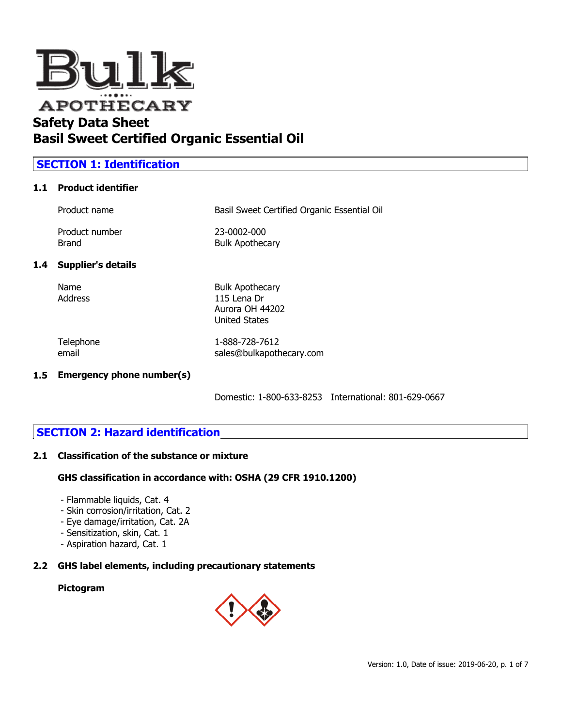

### **SECTION 1: Identification**

#### **1.1 Product identifier**

|               | Product name              | Basil Sweet Certified Organic Essential Oil                                      |
|---------------|---------------------------|----------------------------------------------------------------------------------|
|               | Product number<br>Brand   | 23-0002-000<br><b>Bulk Apothecary</b>                                            |
| $1.4^{\circ}$ | <b>Supplier's details</b> |                                                                                  |
|               | Name<br>Address           | <b>Bulk Apothecary</b><br>115 Lena Dr<br>Aurora OH 44202<br><b>United States</b> |

Telephone 1-888-728-7612 email sales@bulkapothecary.com

#### **1.5 Emergency phone number(s)**

Domestic: 1-800-633-8253 International: 801-629-0667

### **SECTION 2: Hazard identification**

#### **2.1 Classification of the substance or mixture**

#### **GHS classification in accordance with: OSHA (29 CFR 1910.1200)**

- Flammable liquids, Cat. 4
- Skin corrosion/irritation, Cat. 2
- Eye damage/irritation, Cat. 2A
- Sensitization, skin, Cat. 1
- Aspiration hazard, Cat. 1

### **2.2 GHS label elements, including precautionary statements**

### **Pictogram**

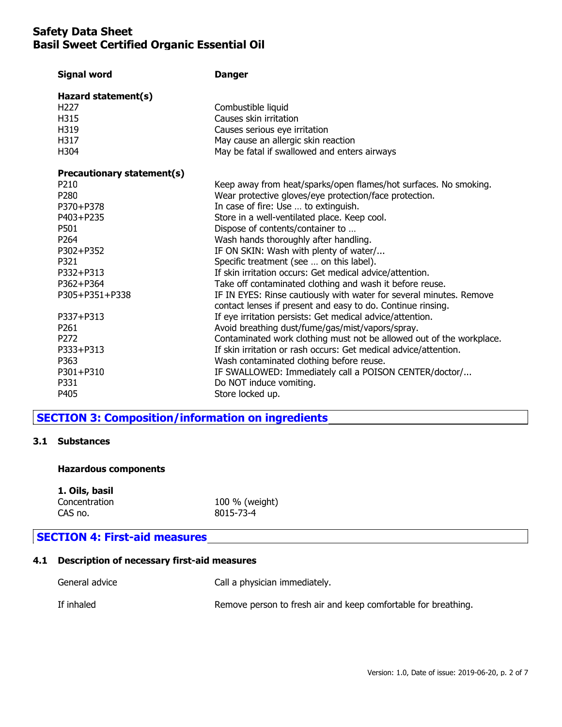| Hazard statement(s)                                                                                                                                                                                                      |
|--------------------------------------------------------------------------------------------------------------------------------------------------------------------------------------------------------------------------|
| H <sub>227</sub><br>Combustible liquid<br>H315<br>Causes skin irritation<br>H319<br>Causes serious eye irritation<br>H317<br>May cause an allergic skin reaction<br>H304<br>May be fatal if swallowed and enters airways |
| Precautionary statement(s)                                                                                                                                                                                               |
| P210<br>Keep away from heat/sparks/open flames/hot surfaces. No smoking.                                                                                                                                                 |
| P280<br>Wear protective gloves/eye protection/face protection.                                                                                                                                                           |
| In case of fire: Use  to extinguish.<br>P370+P378                                                                                                                                                                        |
| P403+P235<br>Store in a well-ventilated place. Keep cool.                                                                                                                                                                |
| P501<br>Dispose of contents/container to                                                                                                                                                                                 |
| P <sub>264</sub><br>Wash hands thoroughly after handling.                                                                                                                                                                |
| P302+P352<br>IF ON SKIN: Wash with plenty of water/                                                                                                                                                                      |
| Specific treatment (see  on this label).<br>P321                                                                                                                                                                         |
| P332+P313<br>If skin irritation occurs: Get medical advice/attention.                                                                                                                                                    |
| P362+P364<br>Take off contaminated clothing and wash it before reuse.                                                                                                                                                    |
| P305+P351+P338<br>IF IN EYES: Rinse cautiously with water for several minutes. Remove                                                                                                                                    |
| contact lenses if present and easy to do. Continue rinsing.<br>P337+P313                                                                                                                                                 |
| If eye irritation persists: Get medical advice/attention.<br>P261                                                                                                                                                        |
| Avoid breathing dust/fume/gas/mist/vapors/spray.<br>P272<br>Contaminated work clothing must not be allowed out of the workplace.                                                                                         |
| P333+P313<br>If skin irritation or rash occurs: Get medical advice/attention.                                                                                                                                            |
| P363<br>Wash contaminated clothing before reuse.                                                                                                                                                                         |
| P301+P310<br>IF SWALLOWED: Immediately call a POISON CENTER/doctor/                                                                                                                                                      |
| P331<br>Do NOT induce vomiting.                                                                                                                                                                                          |
| P405<br>Store locked up.                                                                                                                                                                                                 |

### **SECTION 3: Composition/information on ingredients**

#### **3.1 Substances**

#### **Hazardous components**

**1. Oils, basil**

Concentration 100 % (weight)<br>CAS no. 8015-73-4 8015-73-4

### **SECTION 4: First-aid measures**

### **4.1 Description of necessary first-aid measures**

| General advice | Call a physician immediately.                                  |
|----------------|----------------------------------------------------------------|
| If inhaled     | Remove person to fresh air and keep comfortable for breathing. |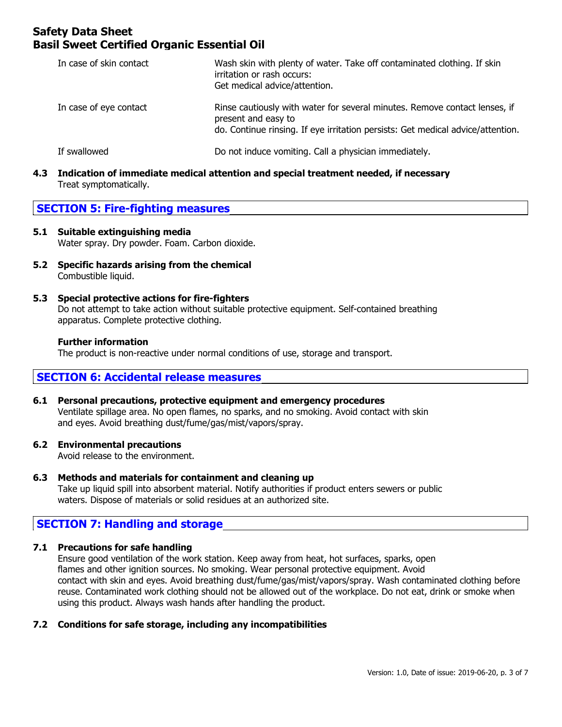| In case of skin contact | Wash skin with plenty of water. Take off contaminated clothing. If skin<br>irritation or rash occurs:<br>Get medical advice/attention.                                               |
|-------------------------|--------------------------------------------------------------------------------------------------------------------------------------------------------------------------------------|
| In case of eye contact  | Rinse cautiously with water for several minutes. Remove contact lenses, if<br>present and easy to<br>do. Continue rinsing. If eye irritation persists: Get medical advice/attention. |
| If swallowed            | Do not induce vomiting. Call a physician immediately.                                                                                                                                |

**4.3 Indication of immediate medical attention and special treatment needed, if necessary** Treat symptomatically.

### **SECTION 5: Fire-fighting measures**

#### **5.1 Suitable extinguishing media** Water spray. Dry powder. Foam. Carbon dioxide.

- **5.2 Specific hazards arising from the chemical** Combustible liquid.
- **5.3 Special protective actions for fire-fighters** Do not attempt to take action without suitable protective equipment. Self-contained breathing apparatus. Complete protective clothing.

#### **Further information**

The product is non-reactive under normal conditions of use, storage and transport.

### **SECTION 6: Accidental release measures**

**6.1 Personal precautions, protective equipment and emergency procedures** Ventilate spillage area. No open flames, no sparks, and no smoking. Avoid contact with skin and eyes. Avoid breathing dust/fume/gas/mist/vapors/spray.

#### **6.2 Environmental precautions**

Avoid release to the environment.

- **6.3 Methods and materials for containment and cleaning up** Take up liquid spill into absorbent material. Notify authorities if product enters sewers or public
	- waters. Dispose of materials or solid residues at an authorized site.

### **SECTION 7: Handling and storage**

#### **7.1 Precautions for safe handling**

Ensure good ventilation of the work station. Keep away from heat, hot surfaces, sparks, open flames and other ignition sources. No smoking. Wear personal protective equipment. Avoid contact with skin and eyes. Avoid breathing dust/fume/gas/mist/vapors/spray. Wash contaminated clothing before reuse. Contaminated work clothing should not be allowed out of the workplace. Do not eat, drink or smoke when using this product. Always wash hands after handling the product.

#### **7.2 Conditions for safe storage, including any incompatibilities**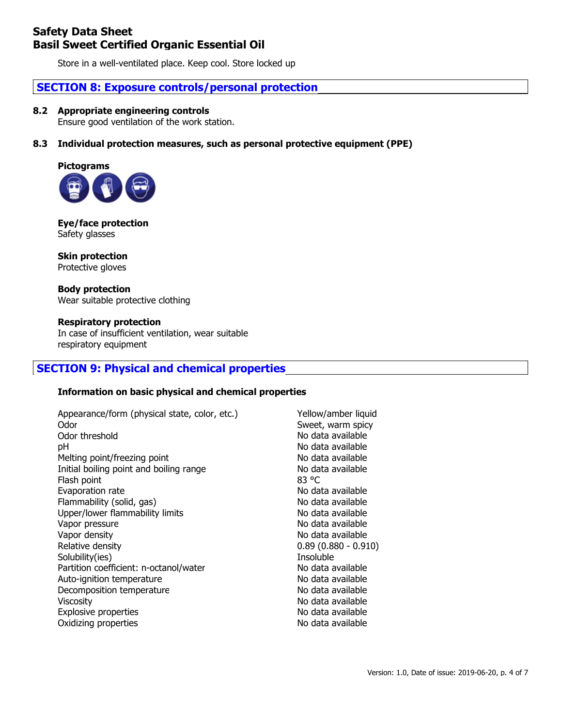Store in a well-ventilated place. Keep cool. Store locked up

### **SECTION 8: Exposure controls/personal protection**

#### **8.2 Appropriate engineering controls**

Ensure good ventilation of the work station.

#### **8.3 Individual protection measures, such as personal protective equipment (PPE)**



#### **Eye/face protection** Safety glasses

**Skin protection** Protective gloves

#### **Body protection** Wear suitable protective clothing

**Respiratory protection** In case of insufficient ventilation, wear suitable respiratory equipment

### **SECTION 9: Physical and chemical properties**

#### **Information on basic physical and chemical properties**

| Appearance/form (physical state, color, etc.) | Yellow/a  |
|-----------------------------------------------|-----------|
| Odor                                          | Sweet, w  |
| Odor threshold                                | No data   |
| рH                                            | No data   |
| Melting point/freezing point                  | No data   |
| Initial boiling point and boiling range       | No data   |
| Flash point                                   | 83 °C     |
| Evaporation rate                              | No data   |
| Flammability (solid, gas)                     | No data   |
| Upper/lower flammability limits               | No data   |
| Vapor pressure                                | No data   |
| Vapor density                                 | No data   |
| Relative density                              | 0.89(0.8) |
| Solubility(ies)                               | Insoluble |
| Partition coefficient: n-octanol/water        | No data   |
| Auto-ignition temperature                     | No data   |
| Decomposition temperature                     | No data   |
| Viscosity                                     | No data   |
| Explosive properties                          | No data   |
| Oxidizing properties                          | No data   |

Yellow/amber liquid Sweet, warm spicy No data available No data available No data available No data available No data available No data available No data available No data available No data available  $0.89$  (0.880 - 0.910) **Insoluble** No data available No data available No data available No data available No data available No data available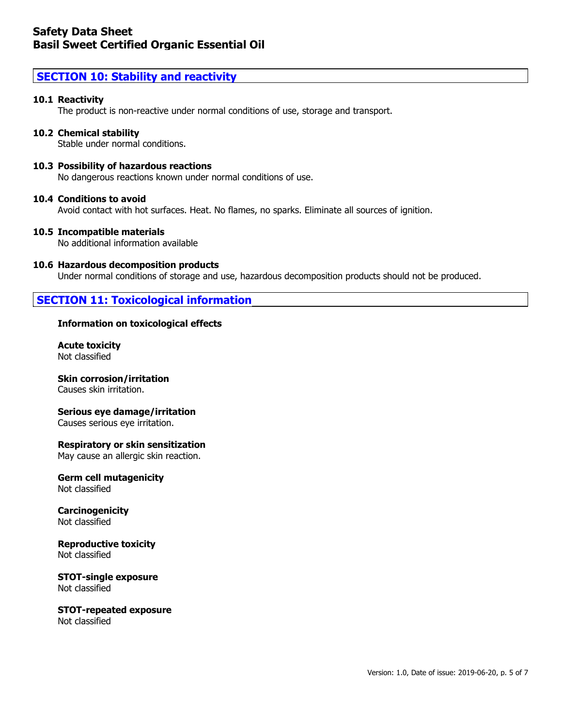### **SECTION 10: Stability and reactivity**

#### **10.1 Reactivity**

The product is non-reactive under normal conditions of use, storage and transport.

#### **10.2 Chemical stability**

Stable under normal conditions.

#### **10.3 Possibility of hazardous reactions**

No dangerous reactions known under normal conditions of use.

#### **10.4 Conditions to avoid**

Avoid contact with hot surfaces. Heat. No flames, no sparks. Eliminate all sources of ignition.

#### **10.5 Incompatible materials**

No additional information available

#### **10.6 Hazardous decomposition products**

Under normal conditions of storage and use, hazardous decomposition products should not be produced.

### **SECTION 11: Toxicological information**

#### **Information on toxicological effects**

**Acute toxicity** Not classified

### **Skin corrosion/irritation**

Causes skin irritation.

#### **Serious eye damage/irritation**

Causes serious eye irritation.

#### **Respiratory or skin sensitization**

May cause an allergic skin reaction.

**Germ cell mutagenicity** Not classified

**Carcinogenicity** Not classified

#### **Reproductive toxicity** Not classified

**STOT-single exposure** Not classified

**STOT-repeated exposure** Not classified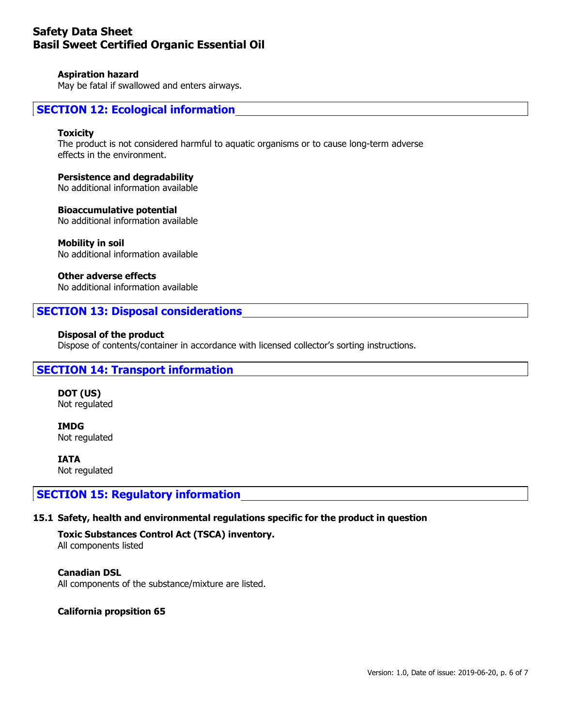#### **Aspiration hazard**

May be fatal if swallowed and enters airways.

### **SECTION 12: Ecological information**

#### **Toxicity**

The product is not considered harmful to aquatic organisms or to cause long-term adverse effects in the environment.

#### **Persistence and degradability**

No additional information available

#### **Bioaccumulative potential**

No additional information available

#### **Mobility in soil**

No additional information available

#### **Other adverse effects**

No additional information available

#### **SECTION 13: Disposal considerations**

#### **Disposal of the product**

Dispose of contents/container in accordance with licensed collector's sorting instructions.

#### **SECTION 14: Transport information**

**DOT (US)** Not regulated

**IMDG** Not regulated

**IATA** Not regulated

#### **SECTION 15: Regulatory information**

#### **15.1 Safety, health and environmental regulations specific for the product in question**

## **Toxic Substances Control Act (TSCA) inventory.**

All components listed

**Canadian DSL** All components of the substance/mixture are listed.

#### **California propsition 65**